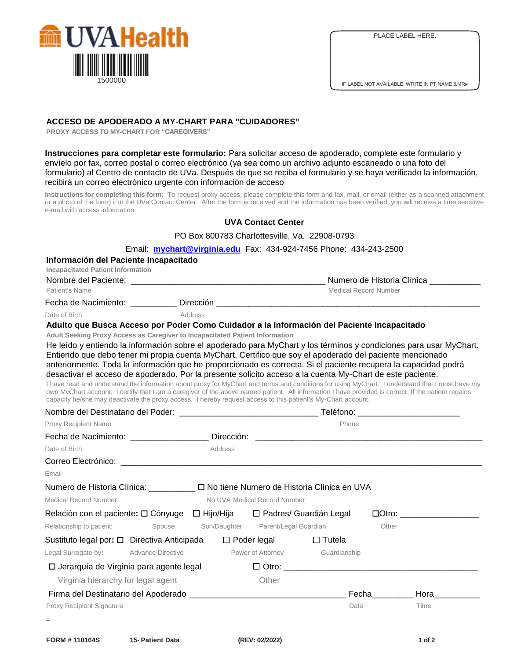

## **ACCESO DE APODERADO A MY-CHART PARA "CUIDADORES"**

**PROXY ACCESS TO MY-CHART FOR "CAREGIVERS"** 

**Instrucciones para completar este formulario:** Para solicitar acceso de apoderado, complete este formulario y envíelo por fax, correo postal o correo electrónico (ya sea como un archivo adjunto escaneado o una foto del formulario) al Centro de contacto de UVa. Después de que se reciba el formulario y se haya verificado la información, recibirá un correo electrónico urgente con información de acceso

**Instructions for completing this form:** To request proxy access, please complete this form and fax, mail, or email (either as a scanned attachment or a photo of the form) it to the UVa Contact Center. After the form is received and the information has been verified, you will receive a time sensitive e-mail with access information.

## **UVA Contact Center**

PO Box 800783 Charlottesville, Va. 22908-0793

Email: **[mychart@virginia.edu](mailto:mychart@virginia.edu)** Fax: 434-924-7456 Phone: 434-243-2500

#### **Información del Paciente Incapacitado**

**Incapacitated Patient Information**

| incapacitated Patient Information |           |                            |  |  |
|-----------------------------------|-----------|----------------------------|--|--|
| Nombre del Paciente:              |           | Numero de Historia Clínica |  |  |
| Patient's Name                    |           | Medical Record Number      |  |  |
| Fecha de Nacimiento:              | Dirección |                            |  |  |
| Date of Birth                     | Address   |                            |  |  |

### **Adulto que Busca Acceso por Poder Como Cuidador a la Información del Paciente Incapacitado**

**Adult Seeking Proxy Access as Caregiver to Incapacitated Patient Information**

He leído y entiendo la información sobre el apoderado para MyChart y los términos y condiciones para usar MyChart. Entiendo que debo tener mi propia cuenta MyChart. Certifico que soy el apoderado del paciente mencionado anteriormente. Toda la información que he proporcionado es correcta. Si el paciente recupera la capacidad podrá desactivar el acceso de apoderado. Por la presente solicito acceso a la cuenta My-Chart de este paciente.

I have read and understand the information about proxy for MyChart and terms and conditions for using MyChart. I understand that I must have my own MyChart account. I certify that I am a caregiver of the above named patient. All information I have provided is correct. If the patient regains capacity he/she may deactivate the proxy access. I hereby request access to this patient's My-Chart account.

|                                                                                       |            | Teléfono: ____________________________ |                                                                                                                     |           |                                                                                                                                                                                                                                                                                                                                                                        |  |
|---------------------------------------------------------------------------------------|------------|----------------------------------------|---------------------------------------------------------------------------------------------------------------------|-----------|------------------------------------------------------------------------------------------------------------------------------------------------------------------------------------------------------------------------------------------------------------------------------------------------------------------------------------------------------------------------|--|
| Proxy Recipient Name                                                                  |            |                                        | Phone                                                                                                               |           |                                                                                                                                                                                                                                                                                                                                                                        |  |
| Fecha de Nacimiento: ___________________                                              | Dirección: |                                        | <u> 1980 - Jan Samuel Barbara, margaret e populari e populari e populari e populari e populari e populari e pop</u> |           |                                                                                                                                                                                                                                                                                                                                                                        |  |
| Date of Birth                                                                         | Address    |                                        |                                                                                                                     |           |                                                                                                                                                                                                                                                                                                                                                                        |  |
|                                                                                       |            |                                        |                                                                                                                     |           |                                                                                                                                                                                                                                                                                                                                                                        |  |
| Email                                                                                 |            |                                        |                                                                                                                     |           |                                                                                                                                                                                                                                                                                                                                                                        |  |
| Numero de Historia Clínica: __________ □ No tiene Numero de Historia Clínica en UVA   |            |                                        |                                                                                                                     |           |                                                                                                                                                                                                                                                                                                                                                                        |  |
| <b>Medical Record Number</b>                                                          |            | No UVA Medical Record Number           |                                                                                                                     |           |                                                                                                                                                                                                                                                                                                                                                                        |  |
| Relación con el paciente: □ Cónyuge □ Hijo/Hija □ Padres/ Guardián Legal              |            |                                        |                                                                                                                     |           | $\Box$ textrm{Orro:}\n\begin{picture}(15,10) \put(0,0){\dashbox{0.5}(10,0){ }} \put(15,0){\dashbox{0.5}(10,0){ }} \put(15,0){\dashbox{0.5}(10,0){ }} \put(15,0){\dashbox{0.5}(10,0){ }} \put(15,0){\dashbox{0.5}(10,0){ }} \put(15,0){\dashbox{0.5}(10,0){ }} \put(15,0){\dashbox{0.5}(10,0){ }} \put(15,0){\dashbox{0.5}(10,0){ }} \put(15,0){\dashbox{0.5}(10,0){ }} |  |
| Relationship to patient:<br>Spouse                                                    |            | Son/Daughter Parent/Legal Guardian     |                                                                                                                     | Other     |                                                                                                                                                                                                                                                                                                                                                                        |  |
| Sustituto legal por: □ Directiva Anticipada □ □ Poder legal                           |            |                                        | $\Box$ Tutela                                                                                                       |           |                                                                                                                                                                                                                                                                                                                                                                        |  |
| Legal Surrogate by: Advance Directive <b>Following Power of Attorney</b> Guardianship |            |                                        |                                                                                                                     |           |                                                                                                                                                                                                                                                                                                                                                                        |  |
| $\square$ Jerarquía de Virginia para agente legal                                     |            |                                        |                                                                                                                     |           |                                                                                                                                                                                                                                                                                                                                                                        |  |
| Virginia hierarchy for legal agent                                                    |            | Other                                  |                                                                                                                     |           |                                                                                                                                                                                                                                                                                                                                                                        |  |
|                                                                                       |            |                                        |                                                                                                                     | Fechallen | Hora                                                                                                                                                                                                                                                                                                                                                                   |  |
| Proxy Recipient Signature                                                             |            |                                        | Date                                                                                                                |           | Time                                                                                                                                                                                                                                                                                                                                                                   |  |
|                                                                                       |            |                                        |                                                                                                                     |           |                                                                                                                                                                                                                                                                                                                                                                        |  |
|                                                                                       |            |                                        |                                                                                                                     |           |                                                                                                                                                                                                                                                                                                                                                                        |  |